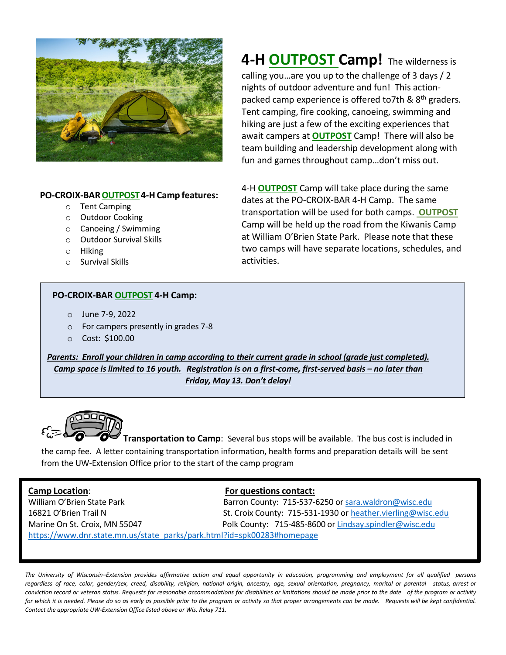

## **PO-CROIX-BAROUTPOST4-HCamp features:**

- o Tent Camping
- o Outdoor Cooking
- o Canoeing / Swimming
- o Outdoor Survival Skills
- o Hiking
- o Survival Skills

## **4-H OUTPOST Camp!** The wilderness is

calling you…are you up to the challenge of 3 days / 2 nights of outdoor adventure and fun! This actionpacked camp experience is offered to7th & 8<sup>th</sup> graders. Tent camping, fire cooking, canoeing, swimming and hiking are just a few of the exciting experiences that await campers at **OUTPOST** Camp! There will also be team building and leadership development along with fun and games throughout camp…don't miss out.

4-H **OUTPOST** Camp will take place during the same dates at the PO-CROIX-BAR 4-H Camp. The same transportation will be used for both camps. **OUTPOST** Camp will be held up the road from the Kiwanis Camp at William O'Brien State Park. Please note that these two camps will have separate locations, schedules, and activities.

## **PO-CROIX-BAR OUTPOST 4-H Camp:**

- o June 7-9, 2022
- o For campers presently in grades 7-8
- o Cost: \$100.00

*Parents: Enroll your children in camp according to their current grade in school (grade just completed). Camp space islimited to 16 youth. Registration is on a first-come, first-served basis – no later than Friday, May 13. Don't delay!*



**Transportation to Camp**: Several bus stops will be available. The bus cost is included in the camp fee. A letter containing transportation information, health forms and preparation details will be sent from the UW-Extension Office prior to the start of the camp program

## **Camp Location**: **For questions contact:**

William O'Brien State Park **Barron County: 715-537-6250 or [sara.waldron@wisc.edu](mailto:sara.waldron@wisc.edu)** 16821 O'Brien Trail N St. Croix County: 715-531-1930 o[r heather.vierling@wisc.edu](mailto:heather.vierling@wisc.edu) Marine On St. Croix, MN 55047 **Polk County: 715-485-8600 or [Lindsay.spindler@wisc.edu](mailto:Lindsay.spindler@wisc.edu)** [https://www.dnr.state.mn.us/state\\_parks/park.html?id=spk00283#homepage](https://www.dnr.state.mn.us/state_parks/park.html?id=spk00283#homepage)

The University of Wisconsin-Extension provides affirmative action and equal opportunity in education, programming and employment for all qualified persons regardless of race, color, gender/sex, creed, disability, religion, national origin, ancestry, age, sexual orientation, pregnancy, marital or parental status, arrest or conviction record or veteran status. Requests for reasonable accommodations for disabilities or limitations should be made prior to the date of the program or activity for which it is needed. Please do so as early as possible prior to the program or activity so that proper arrangements can be made. Requests will be kept confidential. *Contact the appropriate UW-Extension Office listed above or Wis. Relay 711.*